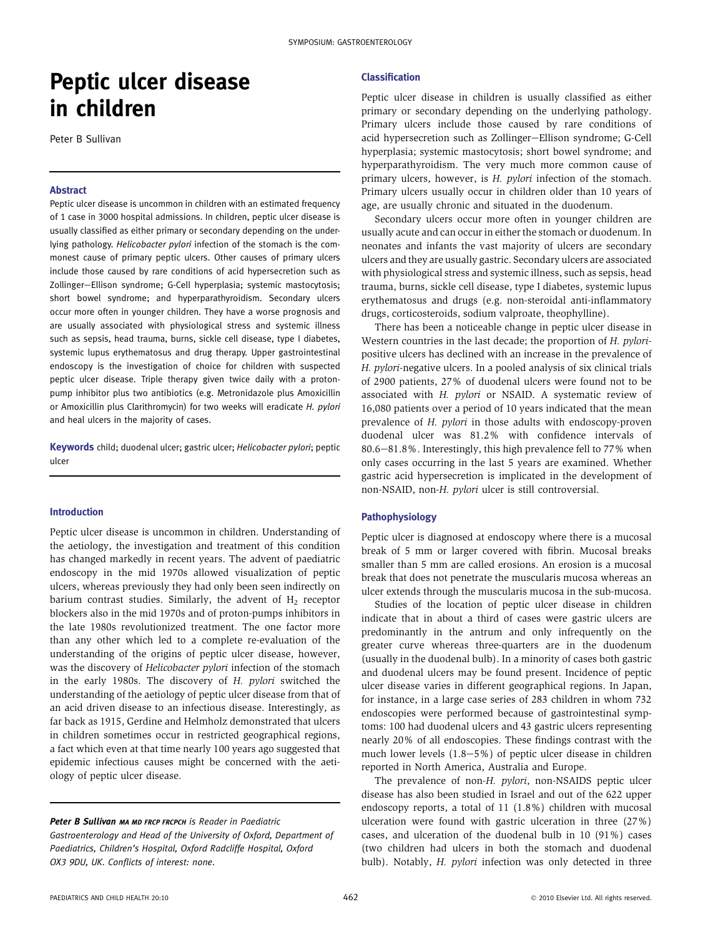# Peptic ulcer disease in children

Peter B Sullivan

# Abstract

Peptic ulcer disease is uncommon in children with an estimated frequency of 1 case in 3000 hospital admissions. In children, peptic ulcer disease is usually classified as either primary or secondary depending on the underlying pathology. Helicobacter pylori infection of the stomach is the commonest cause of primary peptic ulcers. Other causes of primary ulcers include those caused by rare conditions of acid hypersecretion such as Zollinger-Ellison syndrome; G-Cell hyperplasia; systemic mastocytosis; short bowel syndrome; and hyperparathyroidism. Secondary ulcers occur more often in younger children. They have a worse prognosis and are usually associated with physiological stress and systemic illness such as sepsis, head trauma, burns, sickle cell disease, type I diabetes, systemic lupus erythematosus and drug therapy. Upper gastrointestinal endoscopy is the investigation of choice for children with suspected peptic ulcer disease. Triple therapy given twice daily with a protonpump inhibitor plus two antibiotics (e.g. Metronidazole plus Amoxicillin or Amoxicillin plus Clarithromycin) for two weeks will eradicate H. pylori and heal ulcers in the majority of cases.

Keywords child; duodenal ulcer; gastric ulcer; Helicobacter pylori; peptic ulcer

#### Introduction

Peptic ulcer disease is uncommon in children. Understanding of the aetiology, the investigation and treatment of this condition has changed markedly in recent years. The advent of paediatric endoscopy in the mid 1970s allowed visualization of peptic ulcers, whereas previously they had only been seen indirectly on barium contrast studies. Similarly, the advent of  $H_2$  receptor blockers also in the mid 1970s and of proton-pumps inhibitors in the late 1980s revolutionized treatment. The one factor more than any other which led to a complete re-evaluation of the understanding of the origins of peptic ulcer disease, however, was the discovery of Helicobacter pylori infection of the stomach in the early 1980s. The discovery of H. pylori switched the understanding of the aetiology of peptic ulcer disease from that of an acid driven disease to an infectious disease. Interestingly, as far back as 1915, Gerdine and Helmholz demonstrated that ulcers in children sometimes occur in restricted geographical regions, a fact which even at that time nearly 100 years ago suggested that epidemic infectious causes might be concerned with the aetiology of peptic ulcer disease.

Peter B Sullivan MA MD FRCP FRCPCH is Reader in Paediatric

Gastroenterology and Head of the University of Oxford, Department of Paediatrics, Children's Hospital, Oxford Radcliffe Hospital, Oxford OX3 9DU, UK. Conflicts of interest: none.

#### Classification

Peptic ulcer disease in children is usually classified as either primary or secondary depending on the underlying pathology. Primary ulcers include those caused by rare conditions of acid hypersecretion such as Zollinger-Ellison syndrome; G-Cell hyperplasia; systemic mastocytosis; short bowel syndrome; and hyperparathyroidism. The very much more common cause of primary ulcers, however, is H. pylori infection of the stomach. Primary ulcers usually occur in children older than 10 years of age, are usually chronic and situated in the duodenum.

Secondary ulcers occur more often in younger children are usually acute and can occur in either the stomach or duodenum. In neonates and infants the vast majority of ulcers are secondary ulcers and they are usually gastric. Secondary ulcers are associated with physiological stress and systemic illness, such as sepsis, head trauma, burns, sickle cell disease, type I diabetes, systemic lupus erythematosus and drugs (e.g. non-steroidal anti-inflammatory drugs, corticosteroids, sodium valproate, theophylline).

There has been a noticeable change in peptic ulcer disease in Western countries in the last decade; the proportion of H. pyloripositive ulcers has declined with an increase in the prevalence of H. pylori-negative ulcers. In a pooled analysis of six clinical trials of 2900 patients, 27% of duodenal ulcers were found not to be associated with H. pylori or NSAID. A systematic review of 16,080 patients over a period of 10 years indicated that the mean prevalence of H. pylori in those adults with endoscopy-proven duodenal ulcer was 81.2% with confidence intervals of  $80.6 - 81.8\%$ . Interestingly, this high prevalence fell to 77% when only cases occurring in the last 5 years are examined. Whether gastric acid hypersecretion is implicated in the development of non-NSAID, non-H. pylori ulcer is still controversial.

#### Pathophysiology

Peptic ulcer is diagnosed at endoscopy where there is a mucosal break of 5 mm or larger covered with fibrin. Mucosal breaks smaller than 5 mm are called erosions. An erosion is a mucosal break that does not penetrate the muscularis mucosa whereas an ulcer extends through the muscularis mucosa in the sub-mucosa.

Studies of the location of peptic ulcer disease in children indicate that in about a third of cases were gastric ulcers are predominantly in the antrum and only infrequently on the greater curve whereas three-quarters are in the duodenum (usually in the duodenal bulb). In a minority of cases both gastric and duodenal ulcers may be found present. Incidence of peptic ulcer disease varies in different geographical regions. In Japan, for instance, in a large case series of 283 children in whom 732 endoscopies were performed because of gastrointestinal symptoms: 100 had duodenal ulcers and 43 gastric ulcers representing nearly 20% of all endoscopies. These findings contrast with the much lower levels  $(1.8-5%)$  of peptic ulcer disease in children reported in North America, Australia and Europe.

The prevalence of non-H. pylori, non-NSAIDS peptic ulcer disease has also been studied in Israel and out of the 622 upper endoscopy reports, a total of 11 (1.8%) children with mucosal ulceration were found with gastric ulceration in three (27%) cases, and ulceration of the duodenal bulb in 10 (91%) cases (two children had ulcers in both the stomach and duodenal bulb). Notably, *H. pylori* infection was only detected in three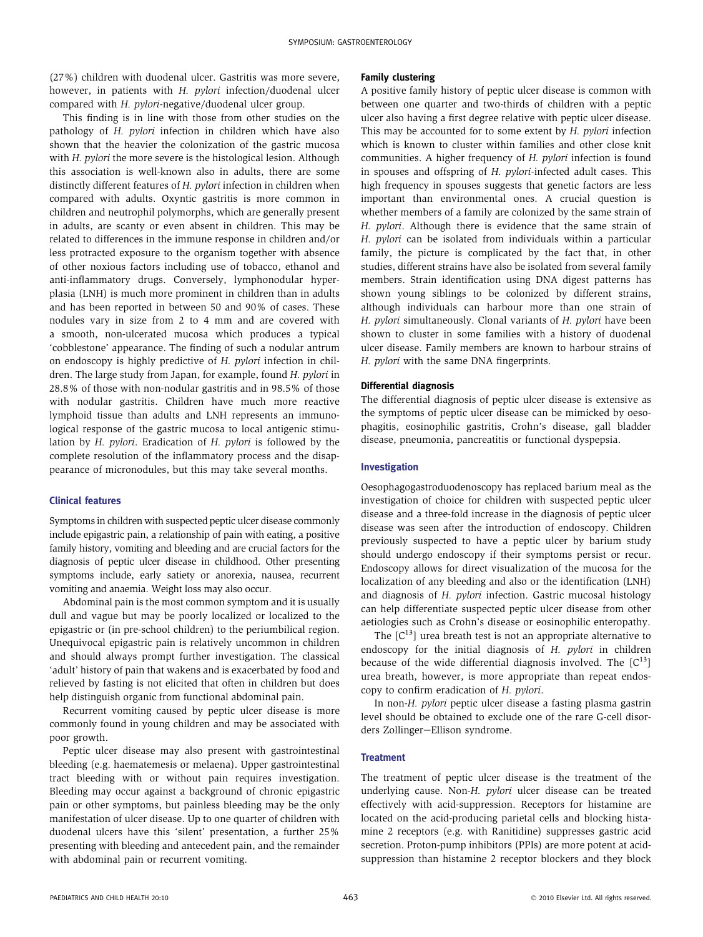(27%) children with duodenal ulcer. Gastritis was more severe, however, in patients with H. *pylori* infection/duodenal ulcer compared with H. pylori-negative/duodenal ulcer group.

This finding is in line with those from other studies on the pathology of H. pylori infection in children which have also shown that the heavier the colonization of the gastric mucosa with H. pylori the more severe is the histological lesion. Although this association is well-known also in adults, there are some distinctly different features of H. pylori infection in children when compared with adults. Oxyntic gastritis is more common in children and neutrophil polymorphs, which are generally present in adults, are scanty or even absent in children. This may be related to differences in the immune response in children and/or less protracted exposure to the organism together with absence of other noxious factors including use of tobacco, ethanol and anti-inflammatory drugs. Conversely, lymphonodular hyperplasia (LNH) is much more prominent in children than in adults and has been reported in between 50 and 90% of cases. These nodules vary in size from 2 to 4 mm and are covered with a smooth, non-ulcerated mucosa which produces a typical 'cobblestone' appearance. The finding of such a nodular antrum on endoscopy is highly predictive of H. pylori infection in children. The large study from Japan, for example, found H. pylori in 28.8% of those with non-nodular gastritis and in 98.5% of those with nodular gastritis. Children have much more reactive lymphoid tissue than adults and LNH represents an immunological response of the gastric mucosa to local antigenic stimulation by H. pylori. Eradication of H. pylori is followed by the complete resolution of the inflammatory process and the disappearance of micronodules, but this may take several months.

# Clinical features

Symptoms in children with suspected peptic ulcer disease commonly include epigastric pain, a relationship of pain with eating, a positive family history, vomiting and bleeding and are crucial factors for the diagnosis of peptic ulcer disease in childhood. Other presenting symptoms include, early satiety or anorexia, nausea, recurrent vomiting and anaemia. Weight loss may also occur.

Abdominal pain is the most common symptom and it is usually dull and vague but may be poorly localized or localized to the epigastric or (in pre-school children) to the periumbilical region. Unequivocal epigastric pain is relatively uncommon in children and should always prompt further investigation. The classical 'adult' history of pain that wakens and is exacerbated by food and relieved by fasting is not elicited that often in children but does help distinguish organic from functional abdominal pain.

Recurrent vomiting caused by peptic ulcer disease is more commonly found in young children and may be associated with poor growth.

Peptic ulcer disease may also present with gastrointestinal bleeding (e.g. haematemesis or melaena). Upper gastrointestinal tract bleeding with or without pain requires investigation. Bleeding may occur against a background of chronic epigastric pain or other symptoms, but painless bleeding may be the only manifestation of ulcer disease. Up to one quarter of children with duodenal ulcers have this 'silent' presentation, a further 25% presenting with bleeding and antecedent pain, and the remainder with abdominal pain or recurrent vomiting.

## Family clustering

A positive family history of peptic ulcer disease is common with between one quarter and two-thirds of children with a peptic ulcer also having a first degree relative with peptic ulcer disease. This may be accounted for to some extent by H. pylori infection which is known to cluster within families and other close knit communities. A higher frequency of H. pylori infection is found in spouses and offspring of H. pylori-infected adult cases. This high frequency in spouses suggests that genetic factors are less important than environmental ones. A crucial question is whether members of a family are colonized by the same strain of H. pylori. Although there is evidence that the same strain of H. pylori can be isolated from individuals within a particular family, the picture is complicated by the fact that, in other studies, different strains have also be isolated from several family members. Strain identification using DNA digest patterns has shown young siblings to be colonized by different strains, although individuals can harbour more than one strain of H. pylori simultaneously. Clonal variants of H. pylori have been shown to cluster in some families with a history of duodenal ulcer disease. Family members are known to harbour strains of H. pylori with the same DNA fingerprints.

#### Differential diagnosis

The differential diagnosis of peptic ulcer disease is extensive as the symptoms of peptic ulcer disease can be mimicked by oesophagitis, eosinophilic gastritis, Crohn's disease, gall bladder disease, pneumonia, pancreatitis or functional dyspepsia.

#### Investigation

Oesophagogastroduodenoscopy has replaced barium meal as the investigation of choice for children with suspected peptic ulcer disease and a three-fold increase in the diagnosis of peptic ulcer disease was seen after the introduction of endoscopy. Children previously suspected to have a peptic ulcer by barium study should undergo endoscopy if their symptoms persist or recur. Endoscopy allows for direct visualization of the mucosa for the localization of any bleeding and also or the identification (LNH) and diagnosis of H. pylori infection. Gastric mucosal histology can help differentiate suspected peptic ulcer disease from other aetiologies such as Crohn's disease or eosinophilic enteropathy.

The  $[C^{13}]$  urea breath test is not an appropriate alternative to endoscopy for the initial diagnosis of H. pylori in children because of the wide differential diagnosis involved. The  $[C^{13}]$ urea breath, however, is more appropriate than repeat endoscopy to confirm eradication of H. pylori.

In non-H. pylori peptic ulcer disease a fasting plasma gastrin level should be obtained to exclude one of the rare G-cell disorders Zollinger-Ellison syndrome.

#### **Treatment**

The treatment of peptic ulcer disease is the treatment of the underlying cause. Non-H. pylori ulcer disease can be treated effectively with acid-suppression. Receptors for histamine are located on the acid-producing parietal cells and blocking histamine 2 receptors (e.g. with Ranitidine) suppresses gastric acid secretion. Proton-pump inhibitors (PPIs) are more potent at acidsuppression than histamine 2 receptor blockers and they block